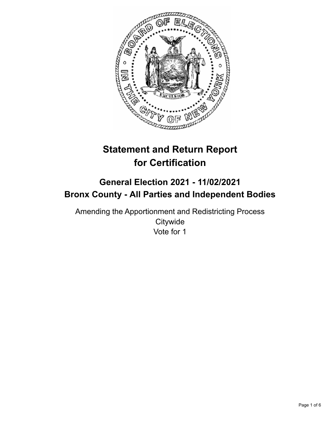

# **Statement and Return Report for Certification**

# **General Election 2021 - 11/02/2021 Bronx County - All Parties and Independent Bodies**

Amending the Apportionment and Redistricting Process **Citywide** Vote for 1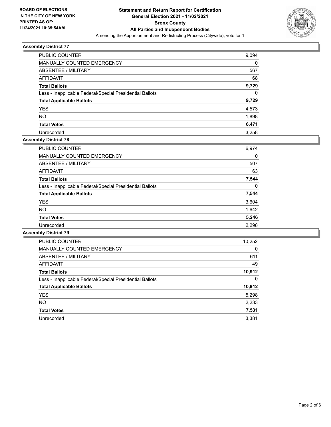

| PUBLIC COUNTER                                           | 9,094 |
|----------------------------------------------------------|-------|
| MANUALLY COUNTED EMERGENCY                               | 0     |
| ABSENTEE / MILITARY                                      | 567   |
| AFFIDAVIT                                                | 68    |
| <b>Total Ballots</b>                                     | 9,729 |
| Less - Inapplicable Federal/Special Presidential Ballots | 0     |
| <b>Total Applicable Ballots</b>                          | 9,729 |
| <b>YES</b>                                               | 4,573 |
| <b>NO</b>                                                | 1,898 |
| <b>Total Votes</b>                                       | 6,471 |
| Unrecorded                                               | 3,258 |

# **Assembly District 78**

| 6,974 |
|-------|
| 0     |
| 507   |
| 63    |
| 7,544 |
| 0     |
| 7,544 |
| 3,604 |
| 1,642 |
| 5,246 |
| 2,298 |
|       |

| <b>PUBLIC COUNTER</b>                                    | 10,252   |
|----------------------------------------------------------|----------|
| <b>MANUALLY COUNTED EMERGENCY</b>                        | $\Omega$ |
| ABSENTEE / MILITARY                                      | 611      |
| <b>AFFIDAVIT</b>                                         | 49       |
| <b>Total Ballots</b>                                     | 10,912   |
| Less - Inapplicable Federal/Special Presidential Ballots | 0        |
| <b>Total Applicable Ballots</b>                          | 10,912   |
| <b>YES</b>                                               | 5,298    |
| NO.                                                      | 2,233    |
| <b>Total Votes</b>                                       | 7,531    |
| Unrecorded                                               | 3.381    |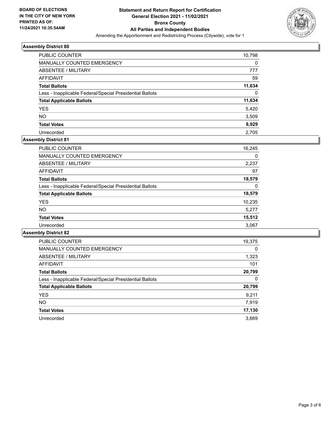

| <b>PUBLIC COUNTER</b>                                    | 10,798 |
|----------------------------------------------------------|--------|
| MANUALLY COUNTED EMERGENCY                               | 0      |
| ABSENTEE / MILITARY                                      | 777    |
| AFFIDAVIT                                                | 59     |
| <b>Total Ballots</b>                                     | 11,634 |
| Less - Inapplicable Federal/Special Presidential Ballots | 0      |
| <b>Total Applicable Ballots</b>                          | 11,634 |
| <b>YES</b>                                               | 5,420  |
| <b>NO</b>                                                | 3,509  |
| <b>Total Votes</b>                                       | 8,929  |
| Unrecorded                                               | 2.705  |

# **Assembly District 81**

| <b>PUBLIC COUNTER</b>                                    | 16,245 |
|----------------------------------------------------------|--------|
| <b>MANUALLY COUNTED EMERGENCY</b>                        | 0      |
| ABSENTEE / MILITARY                                      | 2,237  |
| AFFIDAVIT                                                | 97     |
| <b>Total Ballots</b>                                     | 18,579 |
| Less - Inapplicable Federal/Special Presidential Ballots | 0      |
| <b>Total Applicable Ballots</b>                          | 18,579 |
| <b>YES</b>                                               | 10,235 |
| <b>NO</b>                                                | 5.277  |
| <b>Total Votes</b>                                       | 15,512 |
| Unrecorded                                               | 3,067  |

| <b>PUBLIC COUNTER</b>                                    | 19,375   |
|----------------------------------------------------------|----------|
| <b>MANUALLY COUNTED EMERGENCY</b>                        | $\Omega$ |
| ABSENTEE / MILITARY                                      | 1,323    |
| <b>AFFIDAVIT</b>                                         | 101      |
| <b>Total Ballots</b>                                     | 20,799   |
| Less - Inapplicable Federal/Special Presidential Ballots | 0        |
| <b>Total Applicable Ballots</b>                          | 20,799   |
| <b>YES</b>                                               | 9,211    |
| NO.                                                      | 7,919    |
| <b>Total Votes</b>                                       | 17,130   |
| Unrecorded                                               | 3.669    |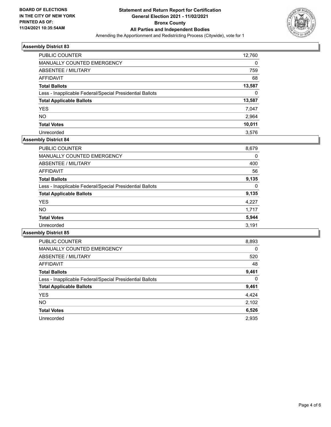

| PUBLIC COUNTER                                           | 12,760   |
|----------------------------------------------------------|----------|
| MANUALLY COUNTED EMERGENCY                               | $\Omega$ |
| ABSENTEE / MILITARY                                      | 759      |
| AFFIDAVIT                                                | 68       |
| <b>Total Ballots</b>                                     | 13,587   |
| Less - Inapplicable Federal/Special Presidential Ballots | $\Omega$ |
| <b>Total Applicable Ballots</b>                          | 13,587   |
| <b>YES</b>                                               | 7,047    |
| <b>NO</b>                                                | 2,964    |
| <b>Total Votes</b>                                       | 10,011   |
| Unrecorded                                               | 3.576    |

#### **Assembly District 84**

| 8,679 |
|-------|
| 0     |
| 400   |
| 56    |
| 9,135 |
| 0     |
| 9,135 |
| 4,227 |
| 1.717 |
| 5,944 |
| 3,191 |
|       |

| <b>PUBLIC COUNTER</b>                                    | 8,893    |
|----------------------------------------------------------|----------|
| <b>MANUALLY COUNTED EMERGENCY</b>                        | $\Omega$ |
| ABSENTEE / MILITARY                                      | 520      |
| <b>AFFIDAVIT</b>                                         | 48       |
| <b>Total Ballots</b>                                     | 9,461    |
| Less - Inapplicable Federal/Special Presidential Ballots | $\Omega$ |
| <b>Total Applicable Ballots</b>                          | 9,461    |
| <b>YES</b>                                               | 4,424    |
| NO.                                                      | 2,102    |
| <b>Total Votes</b>                                       | 6,526    |
| Unrecorded                                               | 2.935    |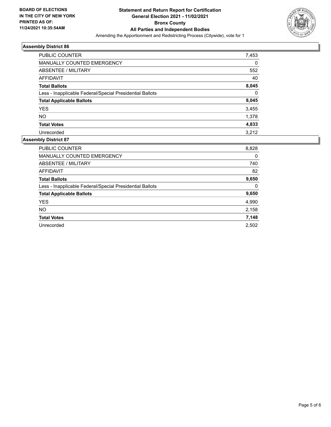

| <b>PUBLIC COUNTER</b>                                    | 7,453    |
|----------------------------------------------------------|----------|
| MANUALLY COUNTED EMERGENCY                               | $\Omega$ |
| ABSENTEE / MILITARY                                      | 552      |
| AFFIDAVIT                                                | 40       |
| <b>Total Ballots</b>                                     | 8,045    |
| Less - Inapplicable Federal/Special Presidential Ballots | $\Omega$ |
| <b>Total Applicable Ballots</b>                          | 8,045    |
| <b>YES</b>                                               | 3,455    |
| <b>NO</b>                                                | 1,378    |
| <b>Total Votes</b>                                       | 4,833    |
| Unrecorded                                               | 3.212    |

| <b>PUBLIC COUNTER</b>                                    | 8,828 |
|----------------------------------------------------------|-------|
| <b>MANUALLY COUNTED EMERGENCY</b>                        | 0     |
| ABSENTEE / MILITARY                                      | 740   |
| <b>AFFIDAVIT</b>                                         | 82    |
| <b>Total Ballots</b>                                     | 9,650 |
| Less - Inapplicable Federal/Special Presidential Ballots | 0     |
| <b>Total Applicable Ballots</b>                          | 9,650 |
| <b>YES</b>                                               | 4,990 |
| <b>NO</b>                                                | 2,158 |
| <b>Total Votes</b>                                       | 7,148 |
| Unrecorded                                               | 2.502 |